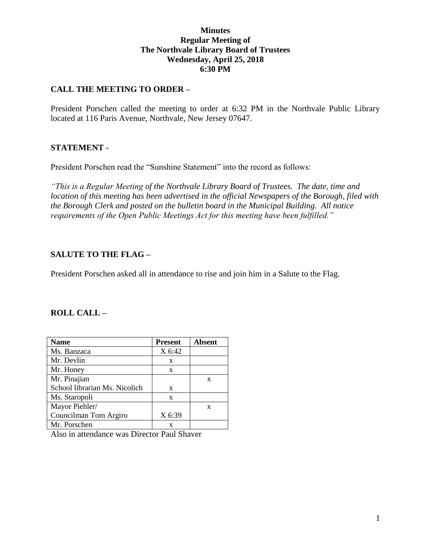## **Minutes Regular Meeting of The Northvale Library Board of Trustees Wednesday, April 25, 2018 6:30 PM**

## **CALL THE MEETING TO ORDER –**

President Porschen called the meeting to order at 6:32 PM in the Northvale Public Library located at 116 Paris Avenue, Northvale, New Jersey 07647.

#### **STATEMENT -**

President Porschen read the "Sunshine Statement" into the record as follows:

*"This is a Regular Meeting of the Northvale Library Board of Trustees. The date, time and location of this meeting has been advertised in the official Newspapers of the Borough, filed with the Borough Clerk and posted on the bulletin board in the Municipal Building. All notice requirements of the Open Public Meetings Act for this meeting have been fulfilled."* 

## **SALUTE TO THE FLAG –**

President Porschen asked all in attendance to rise and join him in a Salute to the Flag.

#### **ROLL CALL –**

| <b>Name</b>                   | <b>Present</b> | <b>Absent</b> |
|-------------------------------|----------------|---------------|
| Ms. Banzaca                   | X 6:42         |               |
| Mr. Devlin                    | X              |               |
| Mr. Honey                     | X              |               |
| Mr. Pinajian                  |                | X             |
| School librarian Ms. Nicolich | X              |               |
| Ms. Staropoli                 | X              |               |
| Mayor Piehler/                |                | X             |
| Councilman Tom Argiro         | X 6:39         |               |
| Mr. Porschen                  | x              |               |

Also in attendance was Director Paul Shaver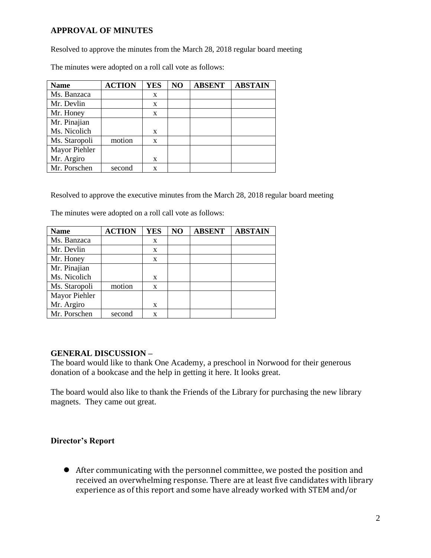# **APPROVAL OF MINUTES**

Resolved to approve the minutes from the March 28, 2018 regular board meeting

| <b>Name</b>   | <b>ACTION</b> | <b>YES</b> | NO | <b>ABSENT</b> | <b>ABSTAIN</b> |
|---------------|---------------|------------|----|---------------|----------------|
| Ms. Banzaca   |               | X          |    |               |                |
| Mr. Devlin    |               | X          |    |               |                |
| Mr. Honey     |               | X          |    |               |                |
| Mr. Pinajian  |               |            |    |               |                |
| Ms. Nicolich  |               | X          |    |               |                |
| Ms. Staropoli | motion        | X          |    |               |                |
| Mayor Piehler |               |            |    |               |                |
| Mr. Argiro    |               | X          |    |               |                |
| Mr. Porschen  | second        | X          |    |               |                |

The minutes were adopted on a roll call vote as follows:

Resolved to approve the executive minutes from the March 28, 2018 regular board meeting

The minutes were adopted on a roll call vote as follows:

| <b>Name</b>   | <b>ACTION</b> | <b>YES</b>   | NO | <b>ABSENT</b> | <b>ABSTAIN</b> |
|---------------|---------------|--------------|----|---------------|----------------|
| Ms. Banzaca   |               | X            |    |               |                |
| Mr. Devlin    |               | X            |    |               |                |
| Mr. Honey     |               | X            |    |               |                |
| Mr. Pinajian  |               |              |    |               |                |
| Ms. Nicolich  |               | X            |    |               |                |
| Ms. Staropoli | motion        | $\mathbf{x}$ |    |               |                |
| Mayor Piehler |               |              |    |               |                |
| Mr. Argiro    |               | X            |    |               |                |
| Mr. Porschen  | second        | X            |    |               |                |

#### **GENERAL DISCUSSION –**

The board would like to thank One Academy, a preschool in Norwood for their generous donation of a bookcase and the help in getting it here. It looks great.

The board would also like to thank the Friends of the Library for purchasing the new library magnets. They came out great.

## **Director's Report**

 After communicating with the personnel committee, we posted the position and received an overwhelming response. There are at least five candidates with library experience as of this report and some have already worked with STEM and/or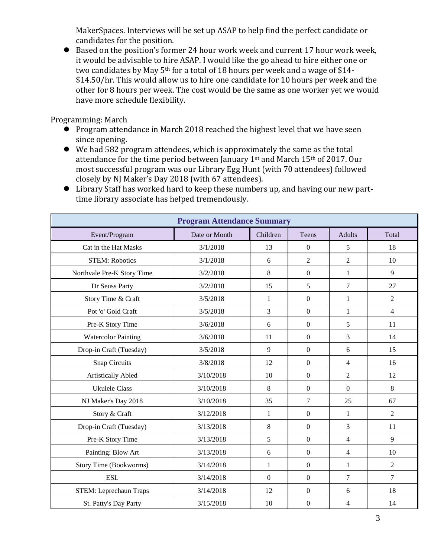MakerSpaces. Interviews will be set up ASAP to help find the perfect candidate or candidates for the position.

 Based on the position's former 24 hour work week and current 17 hour work week, it would be advisable to hire ASAP. I would like the go ahead to hire either one or two candidates by May  $5<sup>th</sup>$  for a total of 18 hours per week and a wage of \$14-\$14.50/hr. This would allow us to hire one candidate for 10 hours per week and the other for 8 hours per week. The cost would be the same as one worker yet we would have more schedule flexibility.

Programming: March

- Program attendance in March 2018 reached the highest level that we have seen since opening.
- We had 582 program attendees, which is approximately the same as the total attendance for the time period between January  $1<sup>st</sup>$  and March  $15<sup>th</sup>$  of 2017. Our most successful program was our Library Egg Hunt (with 70 attendees) followed closely by NJ Maker's Day 2018 (with 67 attendees).

|  |                                                 |  |  | Library Staff has worked hard to keep these numbers up, and having our new part- |
|--|-------------------------------------------------|--|--|----------------------------------------------------------------------------------|
|  | time library associate has helped tremendously. |  |  |                                                                                  |

| <b>Program Attendance Summary</b> |               |                |                  |                |                |  |  |  |
|-----------------------------------|---------------|----------------|------------------|----------------|----------------|--|--|--|
| Event/Program                     | Date or Month | Children       | Teens            | <b>Adults</b>  | Total          |  |  |  |
| Cat in the Hat Masks              | 3/1/2018      | 13             | $\overline{0}$   | 5              | 18             |  |  |  |
| <b>STEM: Robotics</b>             | 3/1/2018      | 6              | $\overline{2}$   | $\overline{2}$ | 10             |  |  |  |
| Northvale Pre-K Story Time        | 3/2/2018      | 8              | $\boldsymbol{0}$ | 1              | 9              |  |  |  |
| Dr Seuss Party                    | 3/2/2018      | 15             | 5                | $\tau$         | 27             |  |  |  |
| Story Time & Craft                | 3/5/2018      | 1              | $\boldsymbol{0}$ | 1              | $\overline{2}$ |  |  |  |
| Pot 'o' Gold Craft                | 3/5/2018      | $\mathfrak{Z}$ | $\boldsymbol{0}$ | 1              | $\overline{4}$ |  |  |  |
| Pre-K Story Time                  | 3/6/2018      | 6              | $\boldsymbol{0}$ | 5              | 11             |  |  |  |
| <b>Watercolor Painting</b>        | 3/6/2018      | 11             | $\boldsymbol{0}$ | 3              | 14             |  |  |  |
| Drop-in Craft (Tuesday)           | 3/5/2018      | 9              | $\boldsymbol{0}$ | 6              | 15             |  |  |  |
| <b>Snap Circuits</b>              | 3/8/2018      | 12             | $\mathbf{0}$     | 4              | 16             |  |  |  |
| Artistically Abled                | 3/10/2018     | 10             | $\mathbf{0}$     | $\overline{2}$ | 12             |  |  |  |
| <b>Ukulele Class</b>              | 3/10/2018     | 8              | $\boldsymbol{0}$ | $\mathbf{0}$   | $8\,$          |  |  |  |
| NJ Maker's Day 2018               | 3/10/2018     | 35             | $\overline{7}$   | 25             | 67             |  |  |  |
| Story & Craft                     | 3/12/2018     | $\mathbf{1}$   | $\mathbf{0}$     | 1              | $\overline{2}$ |  |  |  |
| Drop-in Craft (Tuesday)           | 3/13/2018     | $\,8\,$        | $\boldsymbol{0}$ | 3              | 11             |  |  |  |
| Pre-K Story Time                  | 3/13/2018     | 5              | $\overline{0}$   | $\overline{4}$ | 9              |  |  |  |
| Painting: Blow Art                | 3/13/2018     | 6              | $\boldsymbol{0}$ | $\overline{4}$ | 10             |  |  |  |
| Story Time (Bookworms)            | 3/14/2018     | $\mathbf{1}$   | $\boldsymbol{0}$ | 1              | $\overline{2}$ |  |  |  |
| <b>ESL</b>                        | 3/14/2018     | $\mathbf{0}$   | $\mathbf{0}$     | $\overline{7}$ | $\overline{7}$ |  |  |  |
| <b>STEM: Leprechaun Traps</b>     | 3/14/2018     | 12             | $\boldsymbol{0}$ | 6              | 18             |  |  |  |
| St. Patty's Day Party             | 3/15/2018     | 10             | $\boldsymbol{0}$ | 4              | 14             |  |  |  |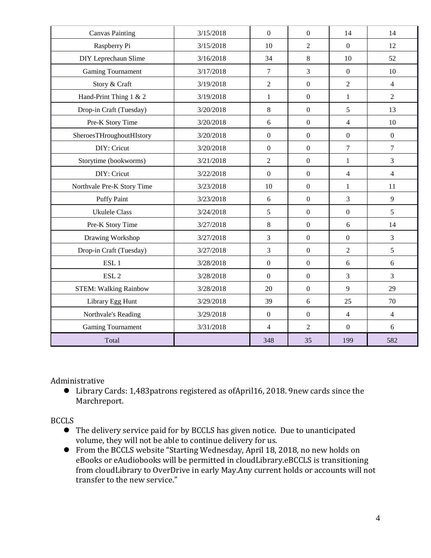| <b>Canvas Painting</b>       | 3/15/2018 | $\mathbf{0}$     | $\mathbf{0}$     | 14               | 14             |
|------------------------------|-----------|------------------|------------------|------------------|----------------|
| Raspberry Pi                 | 3/15/2018 | 10               | $\overline{2}$   | $\overline{0}$   | 12             |
| DIY Leprechaun Slime         | 3/16/2018 | 34               | 8                | 10               | 52             |
| <b>Gaming Tournament</b>     | 3/17/2018 | $\overline{7}$   | $\overline{3}$   | $\mathbf{0}$     | 10             |
| Story & Craft                | 3/19/2018 | $\overline{2}$   | $\mathbf{0}$     | $\overline{2}$   | $\overline{4}$ |
| Hand-Print Thing 1 & 2       | 3/19/2018 | $\mathbf{1}$     | $\boldsymbol{0}$ | $\mathbf{1}$     | $\overline{2}$ |
| Drop-in Craft (Tuesday)      | 3/20/2018 | 8                | $\boldsymbol{0}$ | 5                | 13             |
| Pre-K Story Time             | 3/20/2018 | 6                | $\boldsymbol{0}$ | $\overline{4}$   | 10             |
| SheroesTHroughoutHIstory     | 3/20/2018 | $\boldsymbol{0}$ | $\boldsymbol{0}$ | $\boldsymbol{0}$ | $\overline{0}$ |
| DIY: Cricut                  | 3/20/2018 | $\boldsymbol{0}$ | $\mathbf{0}$     | $\overline{7}$   | $\overline{7}$ |
| Storytime (bookworms)        | 3/21/2018 | $\overline{2}$   | $\overline{0}$   | $\mathbf{1}$     | $\overline{3}$ |
| DIY: Cricut                  | 3/22/2018 | $\mathbf{0}$     | $\mathbf{0}$     | $\overline{4}$   | $\overline{4}$ |
| Northvale Pre-K Story Time   | 3/23/2018 | 10               | $\overline{0}$   | $\mathbf{1}$     | 11             |
| <b>Puffy Paint</b>           | 3/23/2018 | 6                | $\overline{0}$   | 3                | 9              |
| <b>Ukulele Class</b>         | 3/24/2018 | 5                | $\boldsymbol{0}$ | $\boldsymbol{0}$ | 5              |
| Pre-K Story Time             | 3/27/2018 | $\,8\,$          | $\boldsymbol{0}$ | 6                | 14             |
| Drawing Workshop             | 3/27/2018 | 3                | $\boldsymbol{0}$ | $\boldsymbol{0}$ | $\overline{3}$ |
| Drop-in Craft (Tuesday)      | 3/27/2018 | $\overline{3}$   | $\boldsymbol{0}$ | $\overline{2}$   | 5              |
| ESL <sub>1</sub>             | 3/28/2018 | $\boldsymbol{0}$ | $\mathbf{0}$     | 6                | 6              |
| ESL <sub>2</sub>             | 3/28/2018 | $\mathbf{0}$     | $\boldsymbol{0}$ | $\overline{3}$   | $\overline{3}$ |
| <b>STEM: Walking Rainbow</b> | 3/28/2018 | 20               | $\boldsymbol{0}$ | 9                | 29             |
| Library Egg Hunt             | 3/29/2018 | 39               | 6                | 25               | 70             |
| Northvale's Reading          | 3/29/2018 | $\boldsymbol{0}$ | $\boldsymbol{0}$ | $\overline{4}$   | $\overline{4}$ |
| Gaming Tournament            | 3/31/2018 | $\overline{4}$   | $\overline{2}$   | $\boldsymbol{0}$ | 6              |
| Total                        |           | 348              | 35               | 199              | 582            |

Administrative

 Library Cards: 1,483patrons registered as ofApril16, 2018. 9new cards since the Marchreport.

**BCCLS** 

- The delivery service paid for by BCCLS has given notice. Due to unanticipated volume, they will not be able to continue delivery for us.
- From the BCCLS website "Starting Wednesday, April 18, 2018, no new holds on eBooks or eAudiobooks will be permitted in cloudLibrary.eBCCLS is transitioning from cloudLibrary to OverDrive in early May.Any current holds or accounts will not transfer to the new service."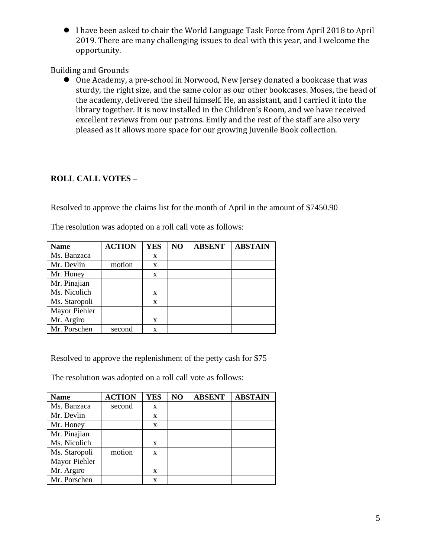I have been asked to chair the World Language Task Force from April 2018 to April 2019. There are many challenging issues to deal with this year, and I welcome the opportunity.

Building and Grounds

 One Academy, a pre-school in Norwood, New Jersey donated a bookcase that was sturdy, the right size, and the same color as our other bookcases. Moses, the head of the academy, delivered the shelf himself. He, an assistant, and I carried it into the library together. It is now installed in the Children's Room, and we have received excellent reviews from our patrons. Emily and the rest of the staff are also very pleased as it allows more space for our growing Juvenile Book collection.

# **ROLL CALL VOTES –**

Resolved to approve the claims list for the month of April in the amount of \$7450.90

| <b>Name</b>   | <b>ACTION</b> | <b>YES</b>   | NO | <b>ABSENT</b> | <b>ABSTAIN</b> |
|---------------|---------------|--------------|----|---------------|----------------|
| Ms. Banzaca   |               | X            |    |               |                |
| Mr. Devlin    | motion        | X            |    |               |                |
| Mr. Honey     |               | $\mathbf{x}$ |    |               |                |
| Mr. Pinajian  |               |              |    |               |                |
| Ms. Nicolich  |               | X            |    |               |                |
| Ms. Staropoli |               | X            |    |               |                |
| Mayor Piehler |               |              |    |               |                |
| Mr. Argiro    |               | X            |    |               |                |
| Mr. Porschen  | second        | X            |    |               |                |

The resolution was adopted on a roll call vote as follows:

Resolved to approve the replenishment of the petty cash for \$75

The resolution was adopted on a roll call vote as follows:

| <b>Name</b>   | <b>ACTION</b> | <b>YES</b>   | NO | <b>ABSENT</b> | <b>ABSTAIN</b> |
|---------------|---------------|--------------|----|---------------|----------------|
| Ms. Banzaca   | second        | X            |    |               |                |
| Mr. Devlin    |               | X            |    |               |                |
| Mr. Honey     |               | $\mathbf{x}$ |    |               |                |
| Mr. Pinajian  |               |              |    |               |                |
| Ms. Nicolich  |               | X            |    |               |                |
| Ms. Staropoli | motion        | X            |    |               |                |
| Mayor Piehler |               |              |    |               |                |
| Mr. Argiro    |               | X            |    |               |                |
| Mr. Porschen  |               | X            |    |               |                |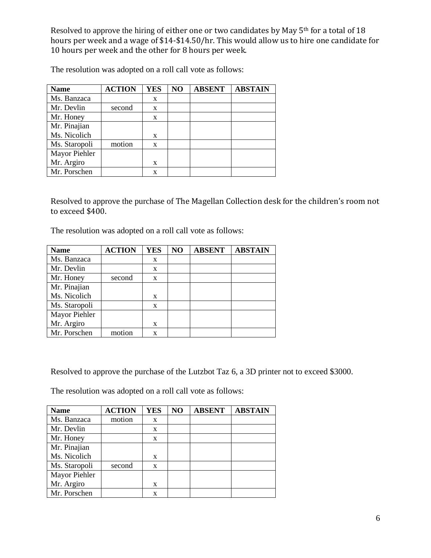Resolved to approve the hiring of either one or two candidates by May 5<sup>th</sup> for a total of 18 hours per week and a wage of \$14-\$14.50/hr. This would allow us to hire one candidate for 10 hours per week and the other for 8 hours per week.

The resolution was adopted on a roll call vote as follows:

| <b>Name</b>   | <b>ACTION</b> | <b>YES</b> | NO | <b>ABSENT</b> | <b>ABSTAIN</b> |
|---------------|---------------|------------|----|---------------|----------------|
| Ms. Banzaca   |               | X          |    |               |                |
| Mr. Devlin    | second        | X          |    |               |                |
| Mr. Honey     |               | X          |    |               |                |
| Mr. Pinajian  |               |            |    |               |                |
| Ms. Nicolich  |               | X          |    |               |                |
| Ms. Staropoli | motion        | X          |    |               |                |
| Mayor Piehler |               |            |    |               |                |
| Mr. Argiro    |               | X          |    |               |                |
| Mr. Porschen  |               | X          |    |               |                |

Resolved to approve the purchase of The Magellan Collection desk for the children's room not to exceed \$400.

The resolution was adopted on a roll call vote as follows:

| <b>Name</b>   | <b>ACTION</b> | <b>YES</b> | NO | <b>ABSENT</b> | <b>ABSTAIN</b> |
|---------------|---------------|------------|----|---------------|----------------|
| Ms. Banzaca   |               | X          |    |               |                |
| Mr. Devlin    |               | X          |    |               |                |
| Mr. Honey     | second        | X          |    |               |                |
| Mr. Pinajian  |               |            |    |               |                |
| Ms. Nicolich  |               | X          |    |               |                |
| Ms. Staropoli |               | X          |    |               |                |
| Mayor Piehler |               |            |    |               |                |
| Mr. Argiro    |               | X          |    |               |                |
| Mr. Porschen  | motion        | X          |    |               |                |

Resolved to approve the purchase of the Lutzbot Taz 6, a 3D printer not to exceed \$3000.

The resolution was adopted on a roll call vote as follows:

| <b>Name</b>   | <b>ACTION</b> | <b>YES</b> | NO | <b>ABSENT</b> | <b>ABSTAIN</b> |
|---------------|---------------|------------|----|---------------|----------------|
| Ms. Banzaca   | motion        | X          |    |               |                |
| Mr. Devlin    |               | X          |    |               |                |
| Mr. Honey     |               | X          |    |               |                |
| Mr. Pinajian  |               |            |    |               |                |
| Ms. Nicolich  |               | X          |    |               |                |
| Ms. Staropoli | second        | X          |    |               |                |
| Mayor Piehler |               |            |    |               |                |
| Mr. Argiro    |               | X          |    |               |                |
| Mr. Porschen  |               | X          |    |               |                |